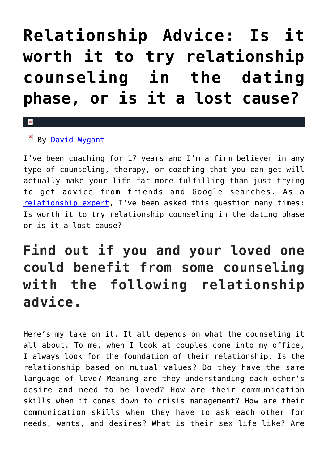# **[Relationship Advice: Is it](https://cupidspulse.com/117216/relationship-advice-worth-relationship-counseling-dating-phase/) [worth it to try relationship](https://cupidspulse.com/117216/relationship-advice-worth-relationship-counseling-dating-phase/) [counseling in the dating](https://cupidspulse.com/117216/relationship-advice-worth-relationship-counseling-dating-phase/) [phase, or is it a lost cause?](https://cupidspulse.com/117216/relationship-advice-worth-relationship-counseling-dating-phase/)**

### $\mathbf{\overline{x}}$

 $By$  David Wygant

I've been coaching for 17 years and I'm a firm believer in any type of counseling, therapy, or coaching that you can get will actually make your life far more fulfilling than just trying to get advice from friends and Google searches. As a [relationship expert,](http://cupidspulse.com/relationship-experts/) I've been asked this question many times: Is worth it to try relationship counseling in the dating phase or is it a lost cause?

## **Find out if you and your loved one could benefit from some counseling with the following relationship advice.**

Here's my take on it. It all depends on what the counseling it all about. To me, when I look at couples come into my office, I always look for the foundation of their relationship. Is the relationship based on mutual values? Do they have the same language of love? Meaning are they understanding each other's desire and need to be loved? How are their communication skills when it comes down to crisis management? How are their communication skills when they have to ask each other for needs, wants, and desires? What is their sex life like? Are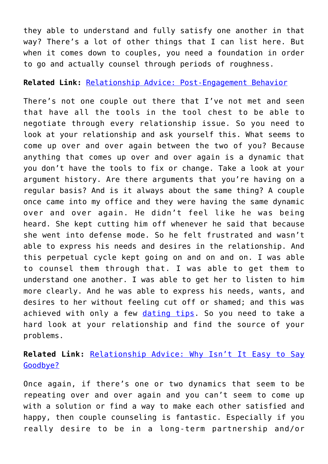they able to understand and fully satisfy one another in that way? There's a lot of other things that I can list here. But when it comes down to couples, you need a foundation in order to go and actually counsel through periods of roughness.

#### **Related Link:** [Relationship Advice: Post-Engagement Behavior](http://cupidspulse.com/112964/relationship-advice-post-engagement-behavior-lindsay-lohan/)

There's not one couple out there that I've not met and seen that have all the tools in the tool chest to be able to negotiate through every relationship issue. So you need to look at your relationship and ask yourself this. What seems to come up over and over again between the two of you? Because anything that comes up over and over again is a dynamic that you don't have the tools to fix or change. Take a look at your argument history. Are there arguments that you're having on a regular basis? And is it always about the same thing? A couple once came into my office and they were having the same dynamic over and over again. He didn't feel like he was being heard. She kept cutting him off whenever he said that because she went into defense mode. So he felt frustrated and wasn't able to express his needs and desires in the relationship. And this perpetual cycle kept going on and on and on. I was able to counsel them through that. I was able to get them to understand one another. I was able to get her to listen to him more clearly. And he was able to express his needs, wants, and desires to her without feeling cut off or shamed; and this was achieved with only a few [dating tips](http://cupidspulse.com/relationship-experts/). So you need to take a hard look at your relationship and find the source of your problems.

### **Related Link:** [Relationship Advice: Why Isn't It Easy to Say](http://cupidspulse.com/114182/relationship-advice-why-not-easy-say-goodbye/) [Goodbye?](http://cupidspulse.com/114182/relationship-advice-why-not-easy-say-goodbye/)

Once again, if there's one or two dynamics that seem to be repeating over and over again and you can't seem to come up with a solution or find a way to make each other satisfied and happy, then couple counseling is fantastic. Especially if you really desire to be in a long-term partnership and/or